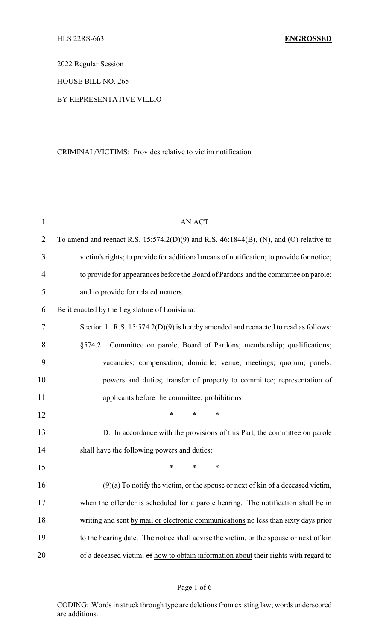2022 Regular Session

HOUSE BILL NO. 265

## BY REPRESENTATIVE VILLIO

#### CRIMINAL/VICTIMS: Provides relative to victim notification

| $\mathbf{1}$   | <b>AN ACT</b>                                                                               |
|----------------|---------------------------------------------------------------------------------------------|
| $\overline{2}$ | To amend and reenact R.S. $15:574.2(D)(9)$ and R.S. $46:1844(B)$ , (N), and (O) relative to |
| 3              | victim's rights; to provide for additional means of notification; to provide for notice;    |
| $\overline{4}$ | to provide for appearances before the Board of Pardons and the committee on parole;         |
| 5              | and to provide for related matters.                                                         |
| 6              | Be it enacted by the Legislature of Louisiana:                                              |
| 7              | Section 1. R.S. $15:574.2(D)(9)$ is hereby amended and reenacted to read as follows:        |
| 8              | §574.2. Committee on parole, Board of Pardons; membership; qualifications;                  |
| 9              | vacancies; compensation; domicile; venue; meetings; quorum; panels;                         |
| 10             | powers and duties; transfer of property to committee; representation of                     |
| 11             | applicants before the committee; prohibitions                                               |
| 12             | $\ast$<br>*<br>*                                                                            |
| 13             | D. In accordance with the provisions of this Part, the committee on parole                  |
| 14             | shall have the following powers and duties:                                                 |
| 15             | $\ast$<br>*<br>$\ast$                                                                       |
| 16             | $(9)(a)$ To notify the victim, or the spouse or next of kin of a deceased victim,           |
| 17             | when the offender is scheduled for a parole hearing. The notification shall be in           |
| 18             | writing and sent by mail or electronic communications no less than sixty days prior         |
| 19             | to the hearing date. The notice shall advise the victim, or the spouse or next of kin       |
| 20             | of a deceased victim, of how to obtain information about their rights with regard to        |

# Page 1 of 6

CODING: Words in struck through type are deletions from existing law; words underscored are additions.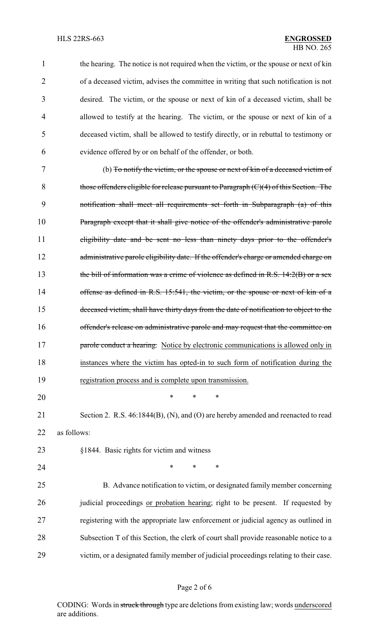| $\mathbf{1}$ | the hearing. The notice is not required when the victim, or the spouse or next of kin    |
|--------------|------------------------------------------------------------------------------------------|
| 2            | of a deceased victim, advises the committee in writing that such notification is not     |
| 3            | desired. The victim, or the spouse or next of kin of a deceased victim, shall be         |
| 4            | allowed to testify at the hearing. The victim, or the spouse or next of kin of a         |
| 5            | deceased victim, shall be allowed to testify directly, or in rebuttal to testimony or    |
| 6            | evidence offered by or on behalf of the offender, or both.                               |
| 7            | (b) To notify the victim, or the spouse or next of kin of a deceased victim of           |
| 8            | those offenders eligible for release pursuant to Paragraph $(C)(4)$ of this Section. The |
| 9            | notification shall meet all requirements set forth in Subparagraph (a) of this           |
| 10           | Paragraph except that it shall give notice of the offender's administrative parole       |
| 11           | eligibility date and be sent no less than ninety days prior to the offender's            |
| 12           | administrative parole eligibility date. If the offender's charge or amended charge on    |
| 13           | the bill of information was a crime of violence as defined in R.S. $14:2(B)$ or a sex    |
| 14           | offense as defined in R.S. 15:541, the victim, or the spouse or next of kin of a         |
| 15           | deceased victim, shall have thirty days from the date of notification to object to the   |
| 16           | offender's release on administrative parole and may request that the committee on        |
| 17           | parole conduct a hearing. Notice by electronic communications is allowed only in         |
| 18           | instances where the victim has opted-in to such form of notification during the          |
| 19           | registration process and is complete upon transmission.                                  |
| 20           | $\ast$<br>*<br>*                                                                         |
| 21           | Section 2. R.S. 46:1844(B), (N), and (O) are hereby amended and reenacted to read        |
| 22           | as follows:                                                                              |
| 23           | §1844. Basic rights for victim and witness                                               |
| 24           | $\ast$<br>∗<br>∗                                                                         |
| 25           | B. Advance notification to victim, or designated family member concerning                |
| 26           | judicial proceedings or probation hearing; right to be present. If requested by          |
| 27           | registering with the appropriate law enforcement or judicial agency as outlined in       |
| 28           | Subsection T of this Section, the clerk of court shall provide reasonable notice to a    |
| 29           | victim, or a designated family member of judicial proceedings relating to their case.    |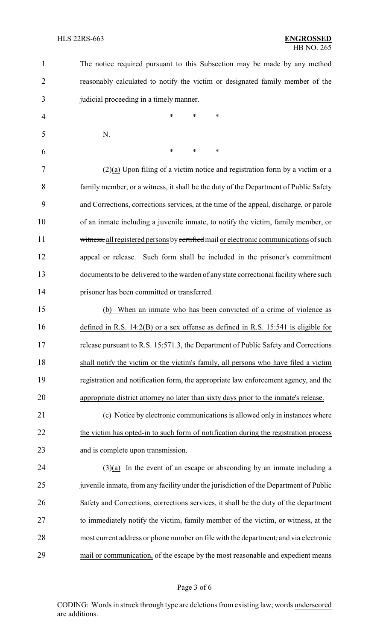The notice required pursuant to this Subsection may be made by any method reasonably calculated to notify the victim or designated family member of the judicial proceeding in a timely manner.

4 \* \* \* \* N. \* \* \*

 (2)(a) Upon filing of a victim notice and registration form by a victim or a family member, or a witness, it shall be the duty of the Department of Public Safety and Corrections, corrections services, at the time of the appeal, discharge, or parole of an inmate including a juvenile inmate, to notify the victim, family member, or 11 witness, all registered persons by certified mail or electronic communications of such appeal or release. Such form shall be included in the prisoner's commitment documents to be delivered to the warden of any state correctional facilitywhere such prisoner has been committed or transferred.

 (b) When an inmate who has been convicted of a crime of violence as defined in R.S. 14:2(B) or a sex offense as defined in R.S. 15:541 is eligible for release pursuant to R.S. 15:571.3, the Department of Public Safety and Corrections shall notify the victim or the victim's family, all persons who have filed a victim registration and notification form, the appropriate law enforcement agency, and the appropriate district attorney no later than sixty days prior to the inmate's release.

 (c) Notice by electronic communications is allowed only in instances where 22 the victim has opted-in to such form of notification during the registration process 23 and is complete upon transmission.

 (3)(a) In the event of an escape or absconding by an inmate including a juvenile inmate, from any facility under the jurisdiction of the Department of Public Safety and Corrections, corrections services, it shall be the duty of the department to immediately notify the victim, family member of the victim, or witness, at the most current address or phone number on file with the department, and via electronic mail or communication, of the escape by the most reasonable and expedient means

### Page 3 of 6

CODING: Words in struck through type are deletions from existing law; words underscored are additions.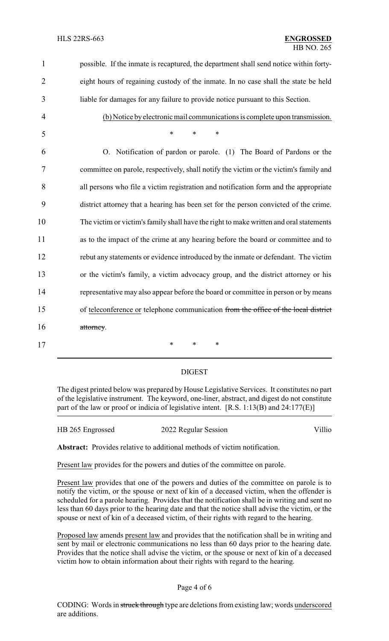| $\mathbf{1}$   | possible. If the inmate is recaptured, the department shall send notice within forty-  |
|----------------|----------------------------------------------------------------------------------------|
| $\overline{2}$ | eight hours of regaining custody of the inmate. In no case shall the state be held     |
| 3              | liable for damages for any failure to provide notice pursuant to this Section.         |
| $\overline{4}$ | (b) Notice by electronic mail communications is complete upon transmission.            |
| 5              | $\ast$<br>$\ast$<br>$\ast$                                                             |
| 6              | O. Notification of pardon or parole. (1) The Board of Pardons or the                   |
| 7              | committee on parole, respectively, shall notify the victim or the victim's family and  |
| 8              | all persons who file a victim registration and notification form and the appropriate   |
| 9              | district attorney that a hearing has been set for the person convicted of the crime.   |
| 10             | The victim or victim's family shall have the right to make written and oral statements |
| 11             | as to the impact of the crime at any hearing before the board or committee and to      |
| 12             | rebut any statements or evidence introduced by the inmate or defendant. The victim     |
| 13             | or the victim's family, a victim advocacy group, and the district attorney or his      |
| 14             | representative may also appear before the board or committee in person or by means     |
| 15             | of teleconference or telephone communication from the office of the local district     |
| 16             | attorney.                                                                              |
| 17             | $\ast$<br>$\ast$<br>∗                                                                  |

### DIGEST

The digest printed below was prepared by House Legislative Services. It constitutes no part of the legislative instrument. The keyword, one-liner, abstract, and digest do not constitute part of the law or proof or indicia of legislative intent. [R.S. 1:13(B) and 24:177(E)]

| HB 265 Engrossed | 2022 Regular Session | Villio |
|------------------|----------------------|--------|
|                  |                      |        |

**Abstract:** Provides relative to additional methods of victim notification.

Present law provides for the powers and duties of the committee on parole.

Present law provides that one of the powers and duties of the committee on parole is to notify the victim, or the spouse or next of kin of a deceased victim, when the offender is scheduled for a parole hearing. Provides that the notification shall be in writing and sent no less than 60 days prior to the hearing date and that the notice shall advise the victim, or the spouse or next of kin of a deceased victim, of their rights with regard to the hearing.

Proposed law amends present law and provides that the notification shall be in writing and sent by mail or electronic communications no less than 60 days prior to the hearing date. Provides that the notice shall advise the victim, or the spouse or next of kin of a deceased victim how to obtain information about their rights with regard to the hearing.

#### Page 4 of 6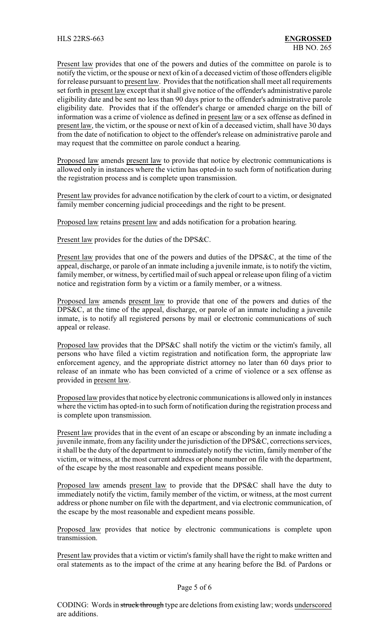Present law provides that one of the powers and duties of the committee on parole is to notify the victim, or the spouse or next of kin of a deceased victim of those offenders eligible for release pursuant to present law. Provides that the notification shall meet all requirements set forth in present law except that it shall give notice of the offender's administrative parole eligibility date and be sent no less than 90 days prior to the offender's administrative parole eligibility date. Provides that if the offender's charge or amended charge on the bill of information was a crime of violence as defined in present law or a sex offense as defined in present law, the victim, or the spouse or next of kin of a deceased victim, shall have 30 days from the date of notification to object to the offender's release on administrative parole and may request that the committee on parole conduct a hearing.

Proposed law amends present law to provide that notice by electronic communications is allowed only in instances where the victim has opted-in to such form of notification during the registration process and is complete upon transmission.

Present law provides for advance notification by the clerk of court to a victim, or designated family member concerning judicial proceedings and the right to be present.

Proposed law retains present law and adds notification for a probation hearing.

Present law provides for the duties of the DPS&C.

Present law provides that one of the powers and duties of the DPS&C, at the time of the appeal, discharge, or parole of an inmate including a juvenile inmate, is to notify the victim, family member, or witness, by certified mail of such appeal or release upon filing of a victim notice and registration form by a victim or a family member, or a witness.

Proposed law amends present law to provide that one of the powers and duties of the DPS&C, at the time of the appeal, discharge, or parole of an inmate including a juvenile inmate, is to notify all registered persons by mail or electronic communications of such appeal or release.

Proposed law provides that the DPS&C shall notify the victim or the victim's family, all persons who have filed a victim registration and notification form, the appropriate law enforcement agency, and the appropriate district attorney no later than 60 days prior to release of an inmate who has been convicted of a crime of violence or a sex offense as provided in present law.

Proposed law provides that notice by electronic communications is allowed only in instances where the victim has opted-in to such form of notification during the registration process and is complete upon transmission.

Present law provides that in the event of an escape or absconding by an inmate including a juvenile inmate, from any facility under the jurisdiction of the DPS&C, corrections services, it shall be the duty of the department to immediately notify the victim, family member of the victim, or witness, at the most current address or phone number on file with the department, of the escape by the most reasonable and expedient means possible.

Proposed law amends present law to provide that the DPS&C shall have the duty to immediately notify the victim, family member of the victim, or witness, at the most current address or phone number on file with the department, and via electronic communication, of the escape by the most reasonable and expedient means possible.

Proposed law provides that notice by electronic communications is complete upon transmission.

Present law provides that a victim or victim's family shall have the right to make written and oral statements as to the impact of the crime at any hearing before the Bd. of Pardons or